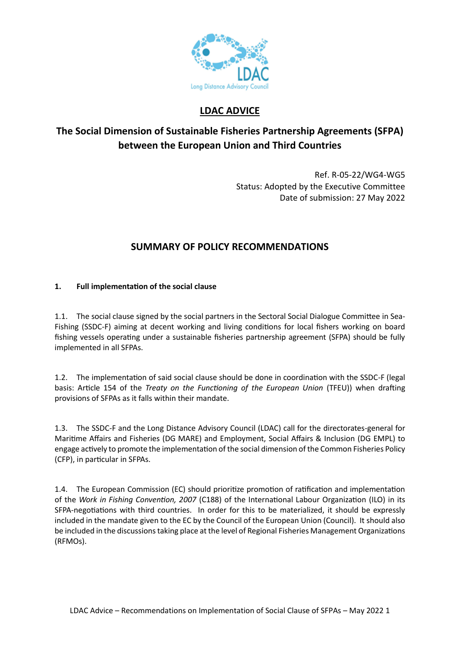

## **LDAC ADVICE**

# **The Social Dimension of Sustainable Fisheries Partnership Agreements (SFPA) between the European Union and Third Countries**

Ref. R-05-22/WG4-WG5 Status: Adopted by the Executive Committee Date of submission: 27 May 2022

### **SUMMARY OF POLICY RECOMMENDATIONS**

### **1. Full implementation of the social clause**

1.1. The social clause signed by the social partners in the Sectoral Social Dialogue Committee in Sea-Fishing (SSDC-F) aiming at decent working and living conditions for local fishers working on board fishing vessels operating under a sustainable fisheries partnership agreement (SFPA) should be fully implemented in all SFPAs.

1.2. The implementation of said social clause should be done in coordination with the SSDC-F (legal basis: Article 154 of the *Treaty on the Functioning of the European Union* (TFEU)) when drafting provisions of SFPAs as it falls within their mandate.

1.3. The SSDC-F and the Long Distance Advisory Council (LDAC) call for the directorates-general for Maritime Affairs and Fisheries (DG MARE) and Employment, Social Affairs & Inclusion (DG EMPL) to engage actively to promote the implementation of the social dimension of the Common Fisheries Policy (CFP), in particular in SFPAs.

1.4. The European Commission (EC) should prioritize promotion of ratification and implementation of the *Work in Fishing Convention, 2007* (C188) of the International Labour Organization (ILO) in its SFPA-negotiations with third countries. In order for this to be materialized, it should be expressly included in the mandate given to the EC by the Council of the European Union (Council). It should also be included in the discussions taking place at the level of Regional Fisheries Management Organizations (RFMOs).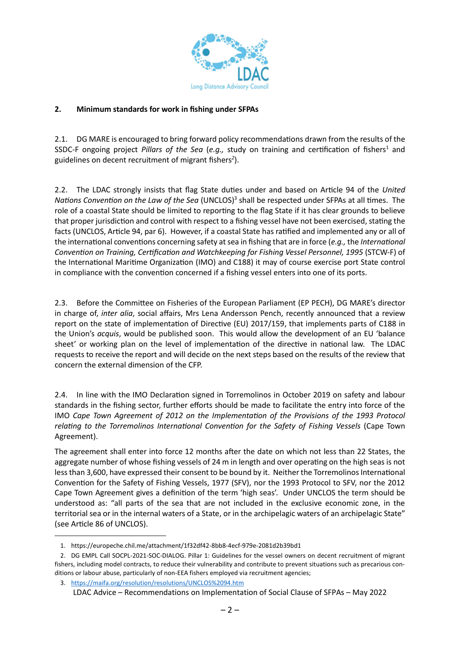

#### **2. Minimum standards for work in fishing under SFPAs**

2.1. DG MARE is encouraged to bring forward policy recommendations drawn from the results of the SSDC-F ongoing project *Pillars of the Sea (e.g.,* study on training and certification of fishers<sup>1</sup> and guidelines on decent recruitment of migrant fishers*<sup>2</sup>* ).

2.2. The LDAC strongly insists that flag State duties under and based on Article 94 of the *United*  Nations Convention on the Law of the Sea (UNCLOS)<sup>3</sup> shall be respected under SFPAs at all times. The role of a coastal State should be limited to reporting to the flag State if it has clear grounds to believe that proper jurisdiction and control with respect to a fishing vessel have not been exercised, stating the facts (UNCLOS, Article 94, par 6). However, if a coastal State has ratified and implemented any or all of the international conventions concerning safety at sea in fishing that are in force (*e.g.,* the *International Convention on Training, Certification and Watchkeeping for Fishing Vessel Personnel, 1995* (STCW-F) of the International Maritime Organization (IMO) and C188) it may of course exercise port State control in compliance with the convention concerned if a fishing vessel enters into one of its ports.

2.3. Before the Committee on Fisheries of the European Parliament (EP PECH), DG MARE's director in charge of, *inter alia*, social affairs, Mrs Lena Andersson Pench, recently announced that a review report on the state of implementation of Directive (EU) 2017/159, that implements parts of C188 in the Union's *acquis*, would be published soon. This would allow the development of an EU 'balance sheet' or working plan on the level of implementation of the directive in national law. The LDAC requests to receive the report and will decide on the next steps based on the results of the review that concern the external dimension of the CFP.

2.4. In line with the IMO Declaration signed in Torremolinos in October 2019 on safety and labour standards in the fishing sector, further efforts should be made to facilitate the entry into force of the IMO *Cape Town Agreement of 2012 on the Implementation of the Provisions of the 1993 Protocol relating to the Torremolinos International Convention for the Safety of Fishing Vessels* (Cape Town Agreement).

The agreement shall enter into force 12 months after the date on which not less than 22 States, the aggregate number of whose fishing vessels of 24 m in length and over operating on the high seas is not less than 3,600, have expressed their consent to be bound by it. Neither the Torremolinos International Convention for the Safety of Fishing Vessels, 1977 (SFV), nor the 1993 Protocol to SFV, nor the 2012 Cape Town Agreement gives a definition of the term 'high seas'. Under UNCLOS the term should be understood as: "all parts of the sea that are not included in the exclusive economic zone, in the territorial sea or in the internal waters of a State, or in the archipelagic waters of an archipelagic State" (see Article 86 of UNCLOS).

<sup>1.</sup> https://europeche.chil.me/attachment/1f32df42-8bb8-4ecf-979e-2081d2b39bd1

<sup>2.</sup> DG EMPL Call SOCPL-2021-SOC-DIALOG. Pillar 1: Guidelines for the vessel owners on decent recruitment of migrant fishers, including model contracts, to reduce their vulnerability and contribute to prevent situations such as precarious conditions or labour abuse, particularly of non-EEA fishers employed via recruitment agencies;

<sup>3.</sup> <https://maifa.org/resolution/resolutions/UNCLOS%2094.htm>

LDAC Advice – Recommendations on Implementation of Social Clause of SFPAs – May 2022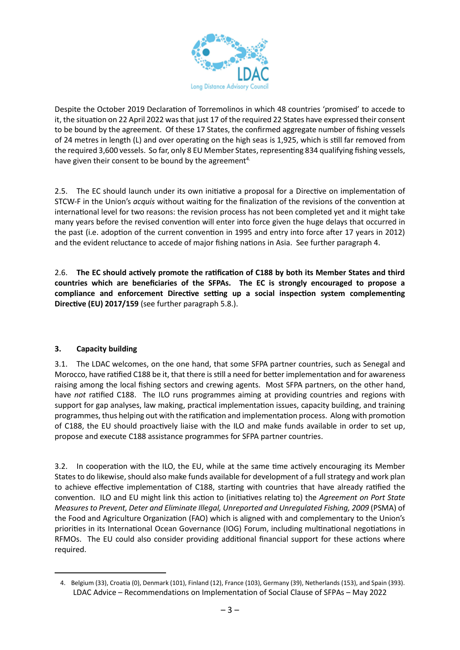

Despite the October 2019 Declaration of Torremolinos in which 48 countries 'promised' to accede to it, the situation on 22 April 2022 was that just 17 of the required 22 States have expressed their consent to be bound by the agreement. Of these 17 States, the confirmed aggregate number of fishing vessels of 24 metres in length (L) and over operating on the high seas is 1,925, which is still far removed from the required 3,600 vessels. So far, only 8 EU Member States, representing 834 qualifying fishing vessels, have given their consent to be bound by the agreement<sup>4.</sup>

2.5. The EC should launch under its own initiative a proposal for a Directive on implementation of STCW-F in the Union's *acquis* without waiting for the finalization of the revisions of the convention at international level for two reasons: the revision process has not been completed yet and it might take many years before the revised convention will enter into force given the huge delays that occurred in the past (i.e. adoption of the current convention in 1995 and entry into force after 17 years in 2012) and the evident reluctance to accede of major fishing nations in Asia. See further paragraph 4.

2.6. **The EC should actively promote the ratification of C188 by both its Member States and third countries which are beneficiaries of the SFPAs. The EC is strongly encouraged to propose a compliance and enforcement Directive setting up a social inspection system complementing Directive (EU) 2017/159** (see further paragraph 5.8.).

#### **3. Capacity building**

3.1. The LDAC welcomes, on the one hand, that some SFPA partner countries, such as Senegal and Morocco, have ratified C188 be it, that there is still a need for better implementation and for awareness raising among the local fishing sectors and crewing agents. Most SFPA partners, on the other hand, have *not* ratified C188. The ILO runs programmes aiming at providing countries and regions with support for gap analyses, law making, practical implementation issues, capacity building, and training programmes, thus helping out with the ratification and implementation process. Along with promotion of C188, the EU should proactively liaise with the ILO and make funds available in order to set up, propose and execute C188 assistance programmes for SFPA partner countries.

3.2. In cooperation with the ILO, the EU, while at the same time actively encouraging its Member States to do likewise, should also make funds available for development of a full strategy and work plan to achieve effective implementation of C188, starting with countries that have already ratified the convention. ILO and EU might link this action to (initiatives relating to) the *Agreement on Port State Measures to Prevent, Deter and Eliminate Illegal, Unreported and Unregulated Fishing, 2009* (PSMA) of the Food and Agriculture Organization (FAO) which is aligned with and complementary to the Union's priorities in its International Ocean Governance (IOG) Forum, including multinational negotiations in RFMOs. The EU could also consider providing additional financial support for these actions where required.

LDAC Advice – Recommendations on Implementation of Social Clause of SFPAs – May 2022 4. Belgium (33), Croatia (0), Denmark (101), Finland (12), France (103), Germany (39), Netherlands (153), and Spain (393).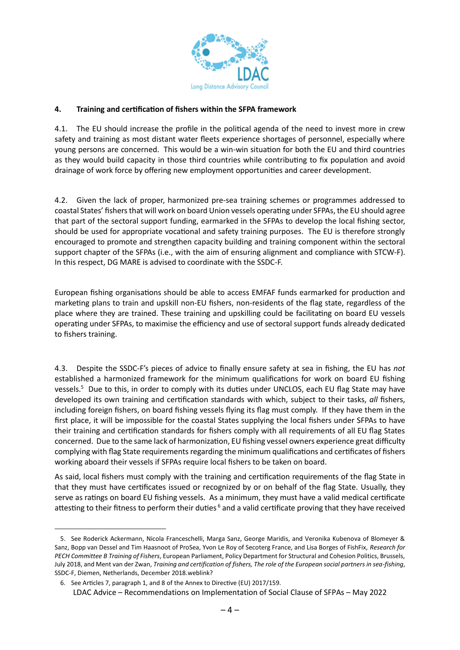

#### **4. Training and certification of fishers within the SFPA framework**

4.1. The EU should increase the profile in the political agenda of the need to invest more in crew safety and training as most distant water fleets experience shortages of personnel, especially where young persons are concerned. This would be a win-win situation for both the EU and third countries as they would build capacity in those third countries while contributing to fix population and avoid drainage of work force by offering new employment opportunities and career development.

4.2. Given the lack of proper, harmonized pre-sea training schemes or programmes addressed to coastal States' fishers that will work on board Union vessels operating under SFPAs, the EU should agree that part of the sectoral support funding, earmarked in the SFPAs to develop the local fishing sector, should be used for appropriate vocational and safety training purposes. The EU is therefore strongly encouraged to promote and strengthen capacity building and training component within the sectoral support chapter of the SFPAs (i.e., with the aim of ensuring alignment and compliance with STCW-F). In this respect, DG MARE is advised to coordinate with the SSDC-F.

European fishing organisations should be able to access EMFAF funds earmarked for production and marketing plans to train and upskill non-EU fishers, non-residents of the flag state, regardless of the place where they are trained. These training and upskilling could be facilitating on board EU vessels operating under SFPAs, to maximise the efficiency and use of sectoral support funds already dedicated to fishers training.

4.3. Despite the SSDC-F's pieces of advice to finally ensure safety at sea in fishing, the EU has *not* established a harmonized framework for the minimum qualifications for work on board EU fishing vessels.<sup>5</sup> Due to this, in order to comply with its duties under UNCLOS, each EU flag State may have developed its own training and certification standards with which, subject to their tasks, *all* fishers, including foreign fishers, on board fishing vessels flying its flag must comply. If they have them in the first place, it will be impossible for the coastal States supplying the local fishers under SFPAs to have their training and certification standards for fishers comply with all requirements of all EU flag States concerned. Due to the same lack of harmonization, EU fishing vessel owners experience great difficulty complying with flag State requirements regarding the minimum qualifications and certificates of fishers working aboard their vessels if SFPAs require local fishers to be taken on board.

As said, local fishers must comply with the training and certification requirements of the flag State in that they must have certificates issued or recognized by or on behalf of the flag State. Usually, they serve as ratings on board EU fishing vessels. As a minimum, they must have a valid medical certificate attesting to their fitness to perform their duties <sup>6</sup> and a valid certificate proving that they have received

<sup>5.</sup> See Roderick Ackermann, Nicola Franceschelli, Marga Sanz, George Maridis, and Veronika Kubenova of Blomeyer & Sanz, Bopp van Dessel and Tim Haasnoot of ProSea, Yvon Le Roy of Secoterg France, and Lisa Borges of FishFix, *Research for PECH Committee B Training of Fishers*, European Parliament, Policy Department for Structural and Cohesion Politics, Brussels, July 2018, and Ment van der Zwan, *Training and certification of fishers, The role of the European social partners in sea-fishing*, SSDC-F, Diemen, Netherlands, December 2018.weblink?

<sup>6</sup>. See Articles 7, paragraph 1, and 8 of the Annex to Directive (EU) 2017/159.

LDAC Advice – Recommendations on Implementation of Social Clause of SFPAs – May 2022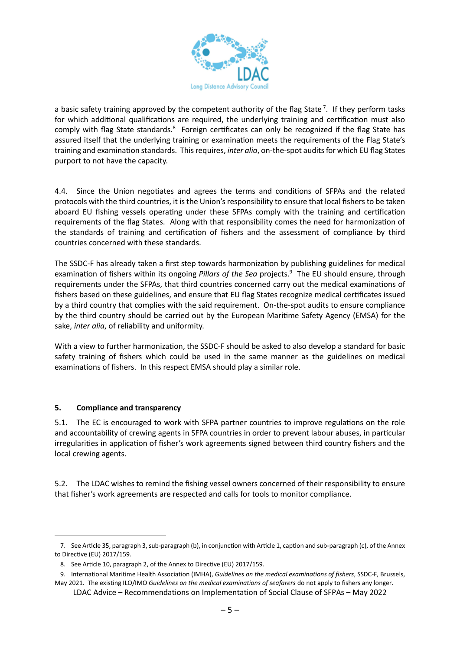

a basic safety training approved by the competent authority of the flag State<sup>7</sup>. If they perform tasks for which additional qualifications are required, the underlying training and certification must also comply with flag State standards.<sup>8</sup> Foreign certificates can only be recognized if the flag State has assured itself that the underlying training or examination meets the requirements of the Flag State's training and examination standards. This requires, *inter alia*, on-the-spot audits for which EU flag States purport to not have the capacity.

4.4. Since the Union negotiates and agrees the terms and conditions of SFPAs and the related protocols with the third countries, it is the Union's responsibility to ensure that local fishers to be taken aboard EU fishing vessels operating under these SFPAs comply with the training and certification requirements of the flag States. Along with that responsibility comes the need for harmonization of the standards of training and certification of fishers and the assessment of compliance by third countries concerned with these standards.

The SSDC-F has already taken a first step towards harmonization by publishing guidelines for medical examination of fishers within its ongoing *Pillars of the Sea* projects.<sup>9</sup> The EU should ensure, through requirements under the SFPAs, that third countries concerned carry out the medical examinations of fishers based on these guidelines, and ensure that EU flag States recognize medical certificates issued by a third country that complies with the said requirement. On-the-spot audits to ensure compliance by the third country should be carried out by the European Maritime Safety Agency (EMSA) for the sake, *inter alia*, of reliability and uniformity.

With a view to further harmonization, the SSDC-F should be asked to also develop a standard for basic safety training of fishers which could be used in the same manner as the guidelines on medical examinations of fishers. In this respect EMSA should play a similar role.

#### **5. Compliance and transparency**

5.1. The EC is encouraged to work with SFPA partner countries to improve regulations on the role and accountability of crewing agents in SFPA countries in order to prevent labour abuses, in particular irregularities in application of fisher's work agreements signed between third country fishers and the local crewing agents.

5.2. The LDAC wishes to remind the fishing vessel owners concerned of their responsibility to ensure that fisher's work agreements are respected and calls for tools to monitor compliance.

<sup>7</sup>. See Article 35, paragraph 3, sub-paragraph (b), in conjunction with Article 1, caption and sub-paragraph (c), of the Annex to Directive (EU) 2017/159.

<sup>8</sup>. See Article 10, paragraph 2, of the Annex to Directive (EU) 2017/159.

<sup>9.</sup> International Maritime Health Association (IMHA), *Guidelines on the medical examinations of fishers*, SSDC-F, Brussels,

LDAC Advice – Recommendations on Implementation of Social Clause of SFPAs – May 2022 May 2021. The existing ILO/IMO *Guidelines on the medical examinations of seafarers* do not apply to fishers any longer.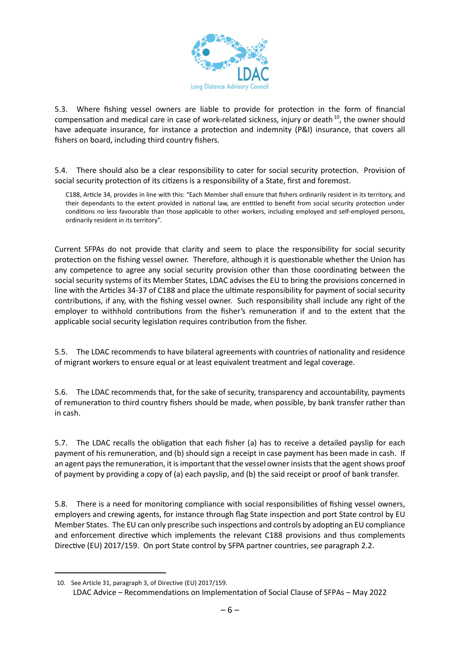

5.3. Where fishing vessel owners are liable to provide for protection in the form of financial compensation and medical care in case of work-related sickness, injury or death  $10$ , the owner should have adequate insurance, for instance a protection and indemnity (P&I) insurance, that covers all fishers on board, including third country fishers.

5.4. There should also be a clear responsibility to cater for social security protection. Provision of social security protection of its citizens is a responsibility of a State, first and foremost.

C188, Article 34, provides in line with this: "Each Member shall ensure that fishers ordinarily resident in its territory, and their dependants to the extent provided in national law, are entitled to benefit from social security protection under conditions no less favourable than those applicable to other workers, including employed and self-employed persons, ordinarily resident in its territory".

Current SFPAs do not provide that clarity and seem to place the responsibility for social security protection on the fishing vessel owner. Therefore, although it is questionable whether the Union has any competence to agree any social security provision other than those coordinating between the social security systems of its Member States, LDAC advises the EU to bring the provisions concerned in line with the Articles 34-37 of C188 and place the ultimate responsibility for payment of social security contributions, if any, with the fishing vessel owner. Such responsibility shall include any right of the employer to withhold contributions from the fisher's remuneration if and to the extent that the applicable social security legislation requires contribution from the fisher.

5.5. The LDAC recommends to have bilateral agreements with countries of nationality and residence of migrant workers to ensure equal or at least equivalent treatment and legal coverage.

5.6. The LDAC recommends that, for the sake of security, transparency and accountability, payments of remuneration to third country fishers should be made, when possible, by bank transfer rather than in cash.

5.7. The LDAC recalls the obligation that each fisher (a) has to receive a detailed payslip for each payment of his remuneration, and (b) should sign a receipt in case payment has been made in cash. If an agent pays the remuneration, it is important that the vessel owner insists that the agent shows proof of payment by providing a copy of (a) each payslip, and (b) the said receipt or proof of bank transfer.

5.8. There is a need for monitoring compliance with social responsibilities of fishing vessel owners, employers and crewing agents, for instance through flag State inspection and port State control by EU Member States. The EU can only prescribe such inspections and controls by adopting an EU compliance and enforcement directive which implements the relevant C188 provisions and thus complements Directive (EU) 2017/159. On port State control by SFPA partner countries, see paragraph 2.2.

<sup>10.</sup> See Article 31, paragraph 3, of Directive (EU) 2017/159.

LDAC Advice – Recommendations on Implementation of Social Clause of SFPAs – May 2022